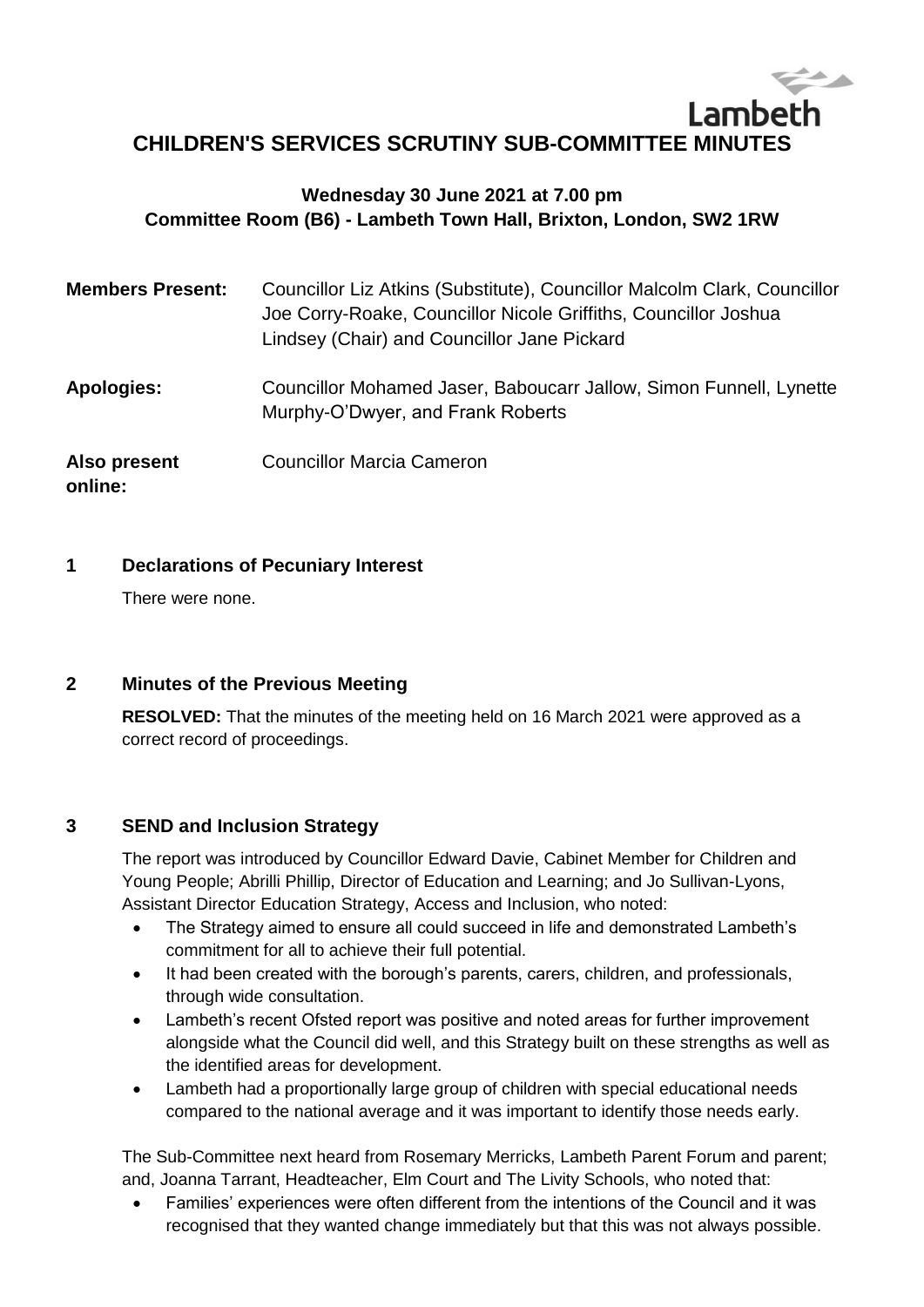# Lambeth **CHILDREN'S SERVICES SCRUTINY SUB-COMMITTEE MINUTES**

# **Wednesday 30 June 2021 at 7.00 pm Committee Room (B6) - Lambeth Town Hall, Brixton, London, SW2 1RW**

| <b>Members Present:</b> | Councillor Liz Atkins (Substitute), Councillor Malcolm Clark, Councillor<br>Joe Corry-Roake, Councillor Nicole Griffiths, Councillor Joshua<br>Lindsey (Chair) and Councillor Jane Pickard |
|-------------------------|--------------------------------------------------------------------------------------------------------------------------------------------------------------------------------------------|
| <b>Apologies:</b>       | Councillor Mohamed Jaser, Baboucarr Jallow, Simon Funnell, Lynette<br>Murphy-O'Dwyer, and Frank Roberts                                                                                    |
| Also present<br>online: | <b>Councillor Marcia Cameron</b>                                                                                                                                                           |

# **1 Declarations of Pecuniary Interest**

There were none.

## **2 Minutes of the Previous Meeting**

**RESOLVED:** That the minutes of the meeting held on 16 March 2021 were approved as a correct record of proceedings.

## **3 SEND and Inclusion Strategy**

The report was introduced by Councillor Edward Davie, Cabinet Member for Children and Young People; Abrilli Phillip, Director of Education and Learning; and Jo Sullivan-Lyons, Assistant Director Education Strategy, Access and Inclusion, who noted:

- The Strategy aimed to ensure all could succeed in life and demonstrated Lambeth's commitment for all to achieve their full potential.
- It had been created with the borough's parents, carers, children, and professionals, through wide consultation.
- Lambeth's recent Ofsted report was positive and noted areas for further improvement alongside what the Council did well, and this Strategy built on these strengths as well as the identified areas for development.
- Lambeth had a proportionally large group of children with special educational needs compared to the national average and it was important to identify those needs early.

The Sub-Committee next heard from Rosemary Merricks, Lambeth Parent Forum and parent; and, Joanna Tarrant, Headteacher, Elm Court and The Livity Schools, who noted that:

 Families' experiences were often different from the intentions of the Council and it was recognised that they wanted change immediately but that this was not always possible.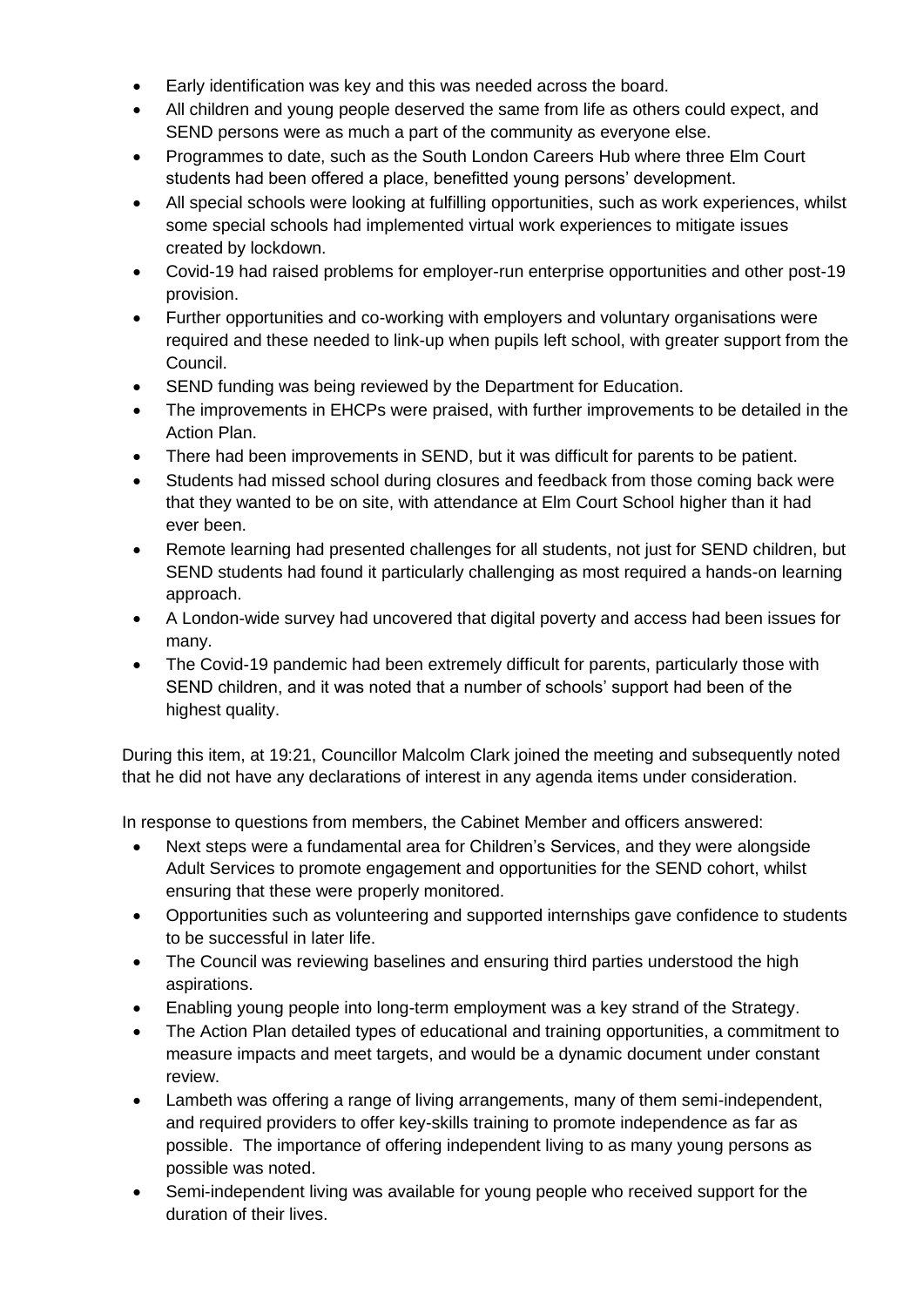- Early identification was key and this was needed across the board.
- All children and young people deserved the same from life as others could expect, and SEND persons were as much a part of the community as everyone else.
- Programmes to date, such as the South London Careers Hub where three Elm Court students had been offered a place, benefitted young persons' development.
- All special schools were looking at fulfilling opportunities, such as work experiences, whilst some special schools had implemented virtual work experiences to mitigate issues created by lockdown.
- Covid-19 had raised problems for employer-run enterprise opportunities and other post-19 provision.
- Further opportunities and co-working with employers and voluntary organisations were required and these needed to link-up when pupils left school, with greater support from the Council.
- SEND funding was being reviewed by the Department for Education.
- The improvements in EHCPs were praised, with further improvements to be detailed in the Action Plan.
- There had been improvements in SEND, but it was difficult for parents to be patient.
- Students had missed school during closures and feedback from those coming back were that they wanted to be on site, with attendance at Elm Court School higher than it had ever been.
- Remote learning had presented challenges for all students, not just for SEND children, but SEND students had found it particularly challenging as most required a hands-on learning approach.
- A London-wide survey had uncovered that digital poverty and access had been issues for many.
- The Covid-19 pandemic had been extremely difficult for parents, particularly those with SEND children, and it was noted that a number of schools' support had been of the highest quality.

During this item, at 19:21, Councillor Malcolm Clark joined the meeting and subsequently noted that he did not have any declarations of interest in any agenda items under consideration.

In response to questions from members, the Cabinet Member and officers answered:

- Next steps were a fundamental area for Children's Services, and they were alongside Adult Services to promote engagement and opportunities for the SEND cohort, whilst ensuring that these were properly monitored.
- Opportunities such as volunteering and supported internships gave confidence to students to be successful in later life.
- The Council was reviewing baselines and ensuring third parties understood the high aspirations.
- Enabling young people into long-term employment was a key strand of the Strategy.
- The Action Plan detailed types of educational and training opportunities, a commitment to measure impacts and meet targets, and would be a dynamic document under constant review.
- Lambeth was offering a range of living arrangements, many of them semi-independent, and required providers to offer key-skills training to promote independence as far as possible. The importance of offering independent living to as many young persons as possible was noted.
- Semi-independent living was available for young people who received support for the duration of their lives.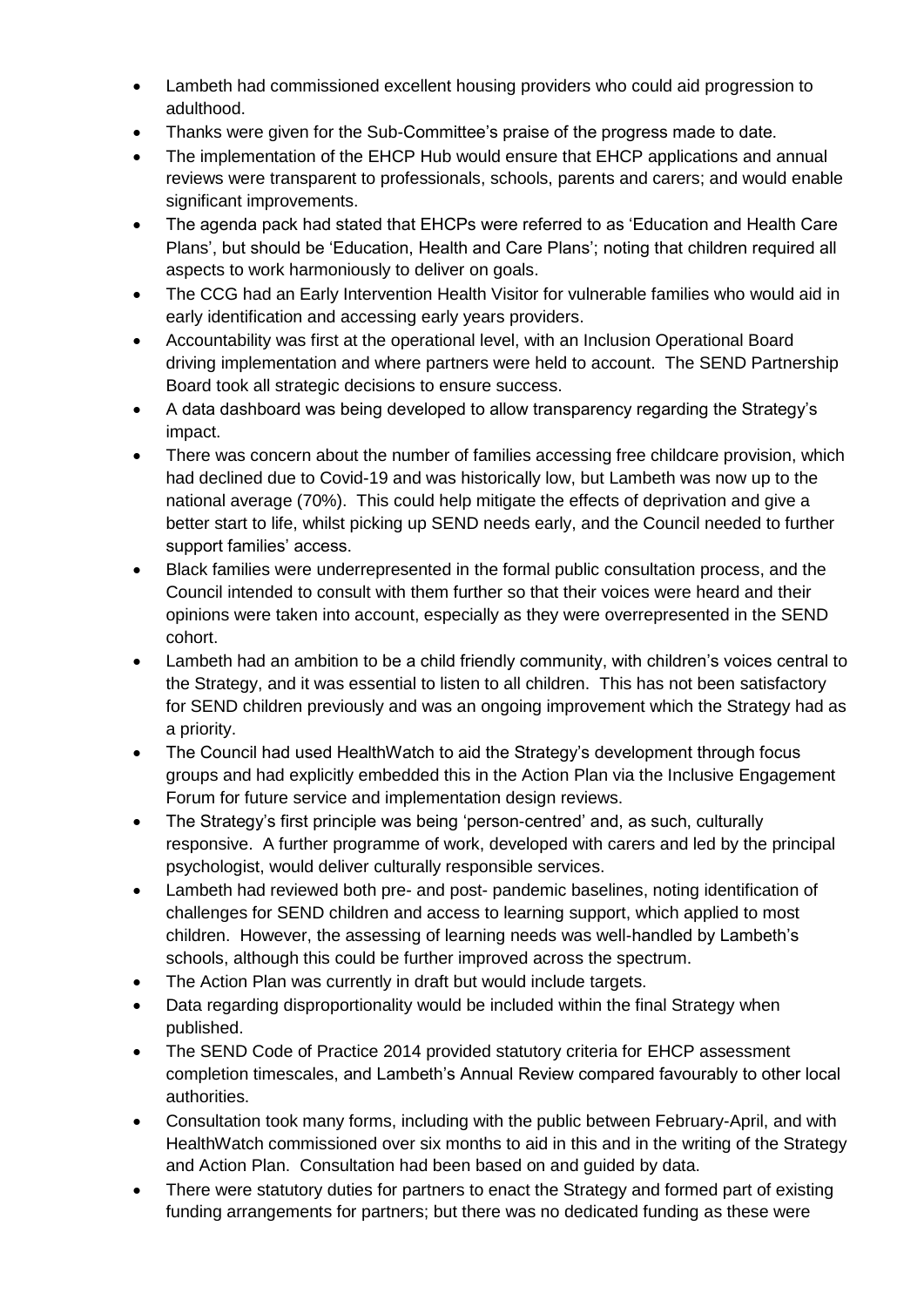- Lambeth had commissioned excellent housing providers who could aid progression to adulthood.
- Thanks were given for the Sub-Committee's praise of the progress made to date.
- The implementation of the EHCP Hub would ensure that EHCP applications and annual reviews were transparent to professionals, schools, parents and carers; and would enable significant improvements.
- The agenda pack had stated that EHCPs were referred to as 'Education and Health Care Plans', but should be 'Education, Health and Care Plans'; noting that children required all aspects to work harmoniously to deliver on goals.
- The CCG had an Early Intervention Health Visitor for vulnerable families who would aid in early identification and accessing early years providers.
- Accountability was first at the operational level, with an Inclusion Operational Board driving implementation and where partners were held to account. The SEND Partnership Board took all strategic decisions to ensure success.
- A data dashboard was being developed to allow transparency regarding the Strategy's impact.
- There was concern about the number of families accessing free childcare provision, which had declined due to Covid-19 and was historically low, but Lambeth was now up to the national average (70%). This could help mitigate the effects of deprivation and give a better start to life, whilst picking up SEND needs early, and the Council needed to further support families' access.
- Black families were underrepresented in the formal public consultation process, and the Council intended to consult with them further so that their voices were heard and their opinions were taken into account, especially as they were overrepresented in the SEND cohort.
- Lambeth had an ambition to be a child friendly community, with children's voices central to the Strategy, and it was essential to listen to all children. This has not been satisfactory for SEND children previously and was an ongoing improvement which the Strategy had as a priority.
- The Council had used HealthWatch to aid the Strategy's development through focus groups and had explicitly embedded this in the Action Plan via the Inclusive Engagement Forum for future service and implementation design reviews.
- The Strategy's first principle was being 'person-centred' and, as such, culturally responsive. A further programme of work, developed with carers and led by the principal psychologist, would deliver culturally responsible services.
- Lambeth had reviewed both pre- and post- pandemic baselines, noting identification of challenges for SEND children and access to learning support, which applied to most children. However, the assessing of learning needs was well-handled by Lambeth's schools, although this could be further improved across the spectrum.
- The Action Plan was currently in draft but would include targets.
- Data regarding disproportionality would be included within the final Strategy when published.
- The SEND Code of Practice 2014 provided statutory criteria for EHCP assessment completion timescales, and Lambeth's Annual Review compared favourably to other local authorities.
- Consultation took many forms, including with the public between February-April, and with HealthWatch commissioned over six months to aid in this and in the writing of the Strategy and Action Plan. Consultation had been based on and guided by data.
- There were statutory duties for partners to enact the Strategy and formed part of existing funding arrangements for partners; but there was no dedicated funding as these were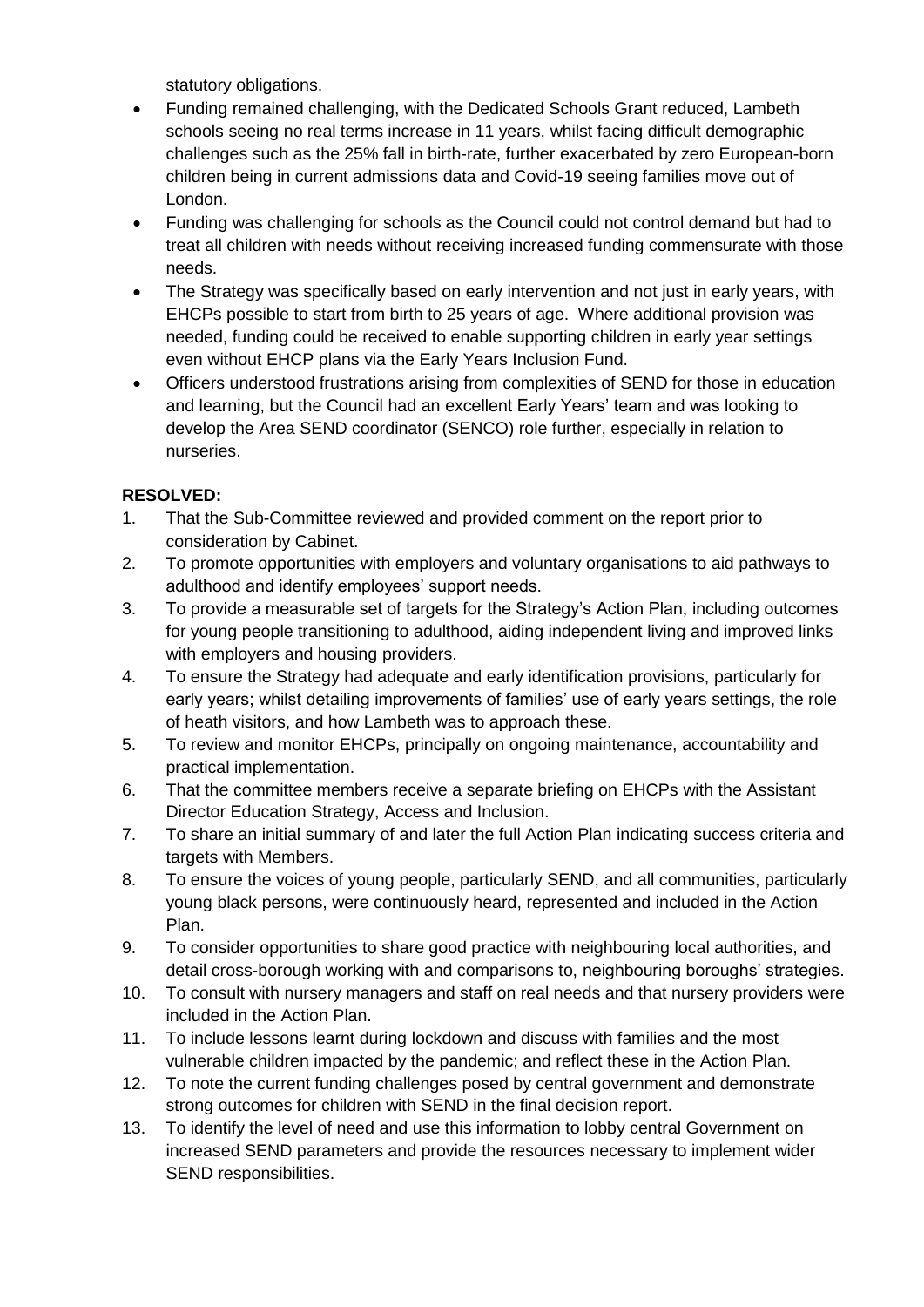statutory obligations.

- Funding remained challenging, with the Dedicated Schools Grant reduced, Lambeth schools seeing no real terms increase in 11 years, whilst facing difficult demographic challenges such as the 25% fall in birth-rate, further exacerbated by zero European-born children being in current admissions data and Covid-19 seeing families move out of London.
- Funding was challenging for schools as the Council could not control demand but had to treat all children with needs without receiving increased funding commensurate with those needs.
- The Strategy was specifically based on early intervention and not just in early years, with EHCPs possible to start from birth to 25 years of age. Where additional provision was needed, funding could be received to enable supporting children in early year settings even without EHCP plans via the Early Years Inclusion Fund.
- Officers understood frustrations arising from complexities of SEND for those in education and learning, but the Council had an excellent Early Years' team and was looking to develop the Area SEND coordinator (SENCO) role further, especially in relation to nurseries.

# **RESOLVED:**

- 1. That the Sub-Committee reviewed and provided comment on the report prior to consideration by Cabinet.
- 2. To promote opportunities with employers and voluntary organisations to aid pathways to adulthood and identify employees' support needs.
- 3. To provide a measurable set of targets for the Strategy's Action Plan, including outcomes for young people transitioning to adulthood, aiding independent living and improved links with employers and housing providers.
- 4. To ensure the Strategy had adequate and early identification provisions, particularly for early years; whilst detailing improvements of families' use of early years settings, the role of heath visitors, and how Lambeth was to approach these.
- 5. To review and monitor EHCPs, principally on ongoing maintenance, accountability and practical implementation.
- 6. That the committee members receive a separate briefing on EHCPs with the Assistant Director Education Strategy, Access and Inclusion.
- 7. To share an initial summary of and later the full Action Plan indicating success criteria and targets with Members.
- 8. To ensure the voices of young people, particularly SEND, and all communities, particularly young black persons, were continuously heard, represented and included in the Action Plan.
- 9. To consider opportunities to share good practice with neighbouring local authorities, and detail cross-borough working with and comparisons to, neighbouring boroughs' strategies.
- 10. To consult with nursery managers and staff on real needs and that nursery providers were included in the Action Plan.
- 11. To include lessons learnt during lockdown and discuss with families and the most vulnerable children impacted by the pandemic; and reflect these in the Action Plan.
- 12. To note the current funding challenges posed by central government and demonstrate strong outcomes for children with SEND in the final decision report.
- 13. To identify the level of need and use this information to lobby central Government on increased SEND parameters and provide the resources necessary to implement wider SEND responsibilities.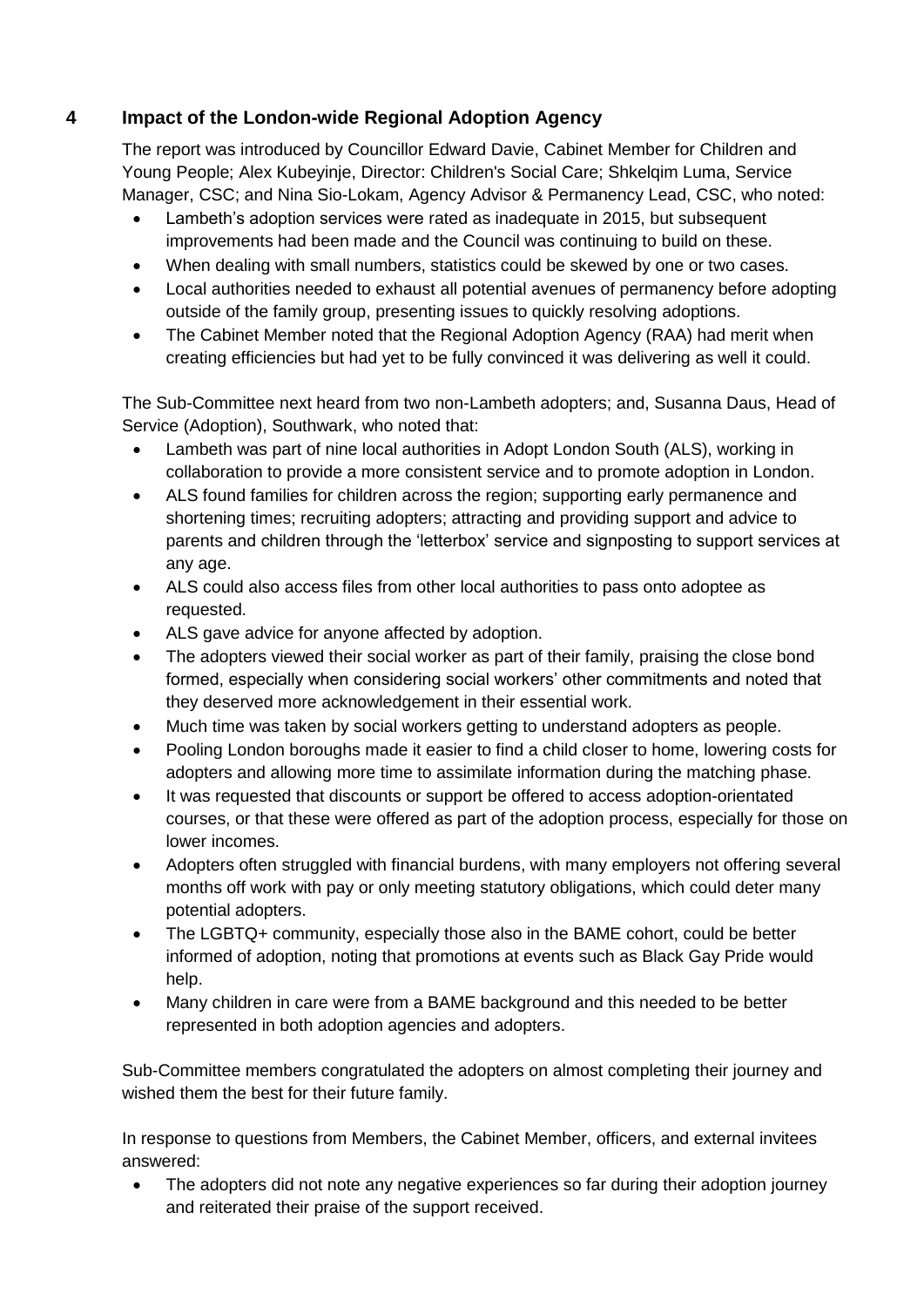# **4 Impact of the London-wide Regional Adoption Agency**

The report was introduced by Councillor Edward Davie, Cabinet Member for Children and Young People; Alex Kubeyinje, Director: Children's Social Care; Shkelqim Luma, Service Manager, CSC; and Nina Sio-Lokam, Agency Advisor & Permanency Lead, CSC, who noted:

- Lambeth's adoption services were rated as inadequate in 2015, but subsequent improvements had been made and the Council was continuing to build on these.
- When dealing with small numbers, statistics could be skewed by one or two cases.
- Local authorities needed to exhaust all potential avenues of permanency before adopting outside of the family group, presenting issues to quickly resolving adoptions.
- The Cabinet Member noted that the Regional Adoption Agency (RAA) had merit when creating efficiencies but had yet to be fully convinced it was delivering as well it could.

The Sub-Committee next heard from two non-Lambeth adopters; and, Susanna Daus, Head of Service (Adoption), Southwark, who noted that:

- Lambeth was part of nine local authorities in Adopt London South (ALS), working in collaboration to provide a more consistent service and to promote adoption in London.
- ALS found families for children across the region; supporting early permanence and shortening times; recruiting adopters; attracting and providing support and advice to parents and children through the 'letterbox' service and signposting to support services at any age.
- ALS could also access files from other local authorities to pass onto adoptee as requested.
- ALS gave advice for anyone affected by adoption.
- The adopters viewed their social worker as part of their family, praising the close bond formed, especially when considering social workers' other commitments and noted that they deserved more acknowledgement in their essential work.
- Much time was taken by social workers getting to understand adopters as people.
- Pooling London boroughs made it easier to find a child closer to home, lowering costs for adopters and allowing more time to assimilate information during the matching phase.
- It was requested that discounts or support be offered to access adoption-orientated courses, or that these were offered as part of the adoption process, especially for those on lower incomes.
- Adopters often struggled with financial burdens, with many employers not offering several months off work with pay or only meeting statutory obligations, which could deter many potential adopters.
- The LGBTQ+ community, especially those also in the BAME cohort, could be better informed of adoption, noting that promotions at events such as Black Gay Pride would help.
- Many children in care were from a BAME background and this needed to be better represented in both adoption agencies and adopters.

Sub-Committee members congratulated the adopters on almost completing their journey and wished them the best for their future family.

In response to questions from Members, the Cabinet Member, officers, and external invitees answered:

 The adopters did not note any negative experiences so far during their adoption journey and reiterated their praise of the support received.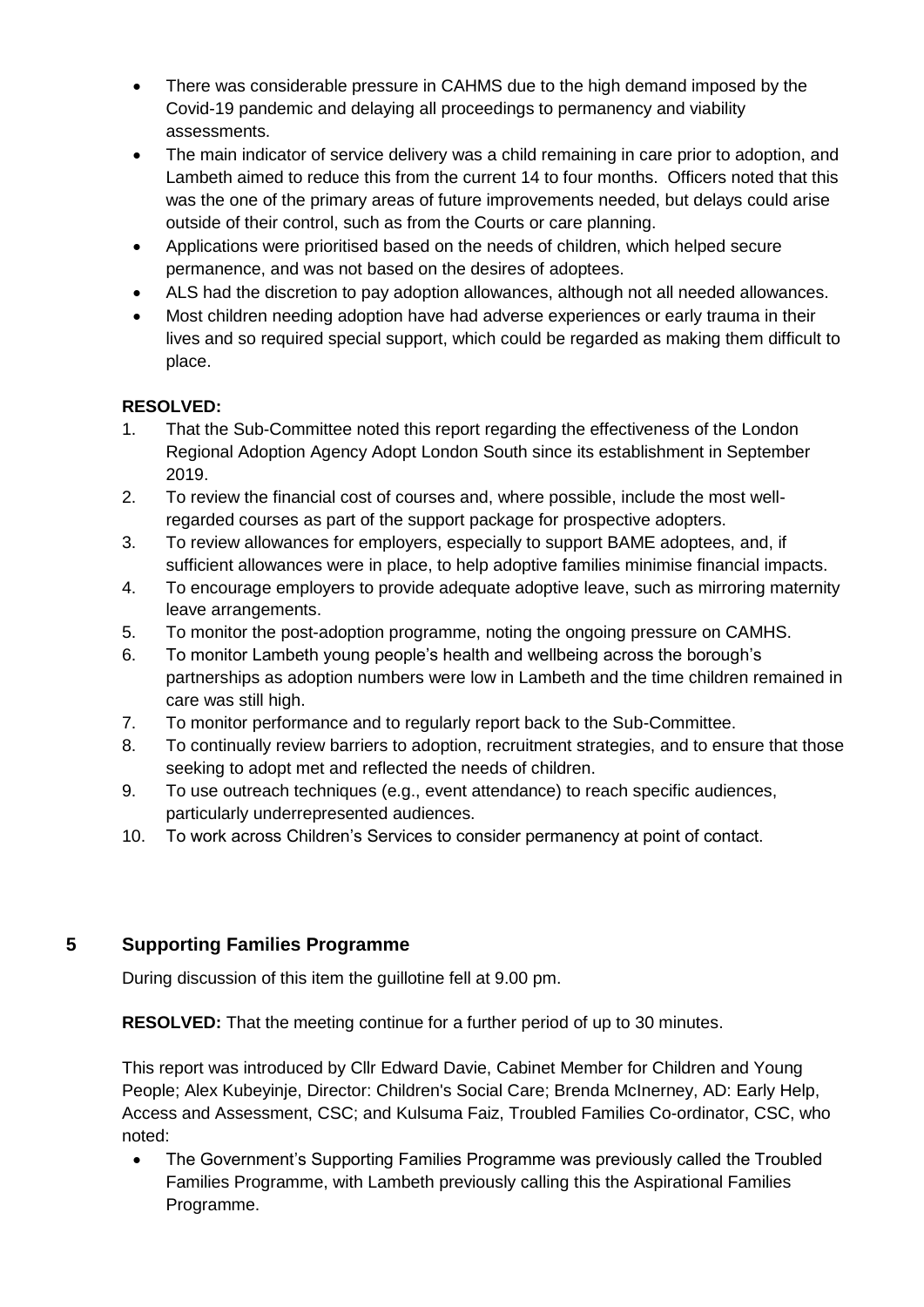- There was considerable pressure in CAHMS due to the high demand imposed by the Covid-19 pandemic and delaying all proceedings to permanency and viability assessments.
- The main indicator of service delivery was a child remaining in care prior to adoption, and Lambeth aimed to reduce this from the current 14 to four months. Officers noted that this was the one of the primary areas of future improvements needed, but delays could arise outside of their control, such as from the Courts or care planning.
- Applications were prioritised based on the needs of children, which helped secure permanence, and was not based on the desires of adoptees.
- ALS had the discretion to pay adoption allowances, although not all needed allowances.
- Most children needing adoption have had adverse experiences or early trauma in their lives and so required special support, which could be regarded as making them difficult to place.

#### **RESOLVED:**

- 1. That the Sub-Committee noted this report regarding the effectiveness of the London Regional Adoption Agency Adopt London South since its establishment in September 2019.
- 2. To review the financial cost of courses and, where possible, include the most wellregarded courses as part of the support package for prospective adopters.
- 3. To review allowances for employers, especially to support BAME adoptees, and, if sufficient allowances were in place, to help adoptive families minimise financial impacts.
- 4. To encourage employers to provide adequate adoptive leave, such as mirroring maternity leave arrangements.
- 5. To monitor the post-adoption programme, noting the ongoing pressure on CAMHS.
- 6. To monitor Lambeth young people's health and wellbeing across the borough's partnerships as adoption numbers were low in Lambeth and the time children remained in care was still high.
- 7. To monitor performance and to regularly report back to the Sub-Committee.
- 8. To continually review barriers to adoption, recruitment strategies, and to ensure that those seeking to adopt met and reflected the needs of children.
- 9. To use outreach techniques (e.g., event attendance) to reach specific audiences, particularly underrepresented audiences.
- 10. To work across Children's Services to consider permanency at point of contact.

## **5 Supporting Families Programme**

During discussion of this item the guillotine fell at 9.00 pm.

**RESOLVED:** That the meeting continue for a further period of up to 30 minutes.

This report was introduced by Cllr Edward Davie, Cabinet Member for Children and Young People; Alex Kubeyinje, Director: Children's Social Care; Brenda McInerney, AD: Early Help, Access and Assessment, CSC; and Kulsuma Faiz, Troubled Families Co-ordinator, CSC, who noted:

• The Government's Supporting Families Programme was previously called the Troubled Families Programme, with Lambeth previously calling this the Aspirational Families Programme.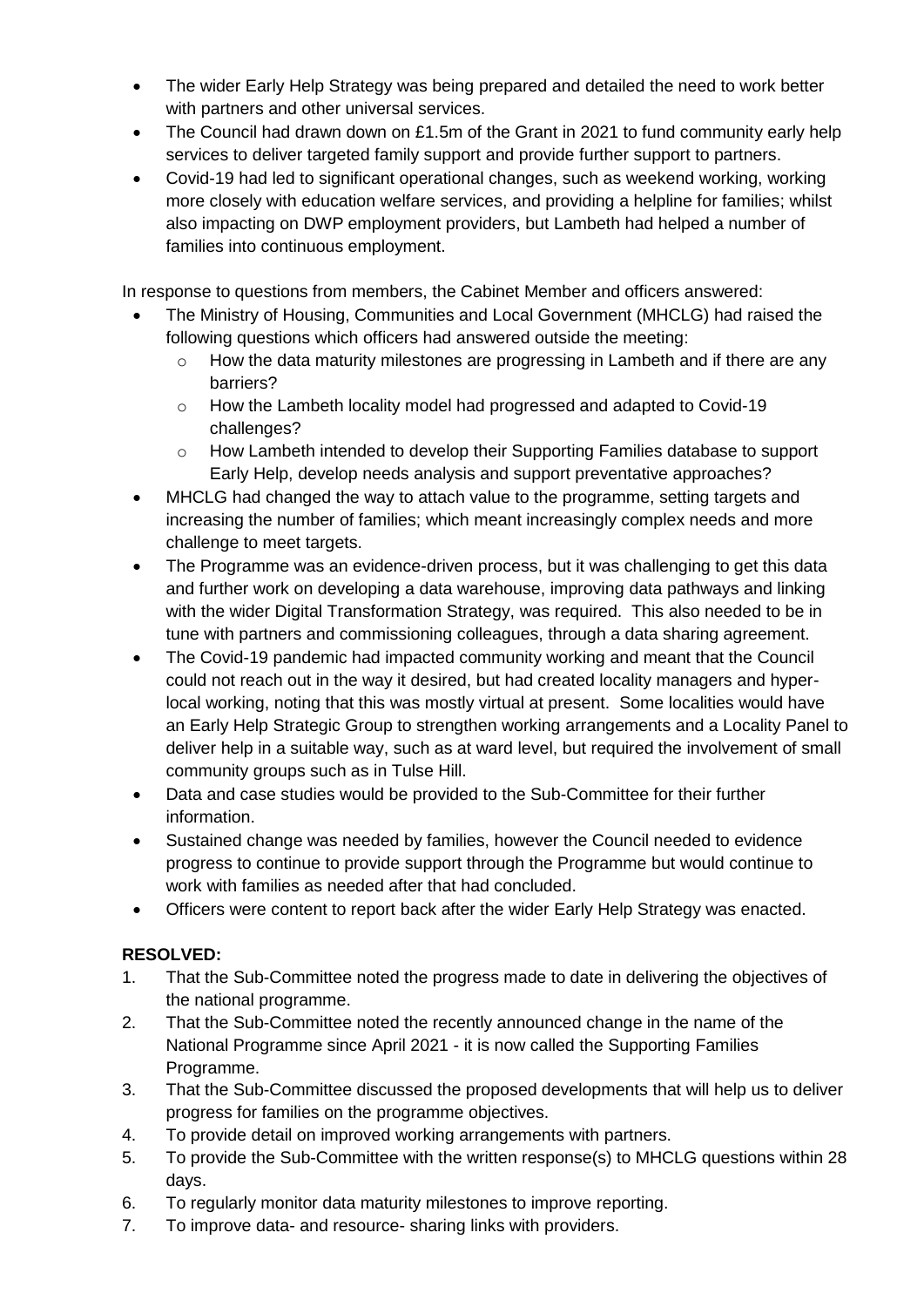- The wider Early Help Strategy was being prepared and detailed the need to work better with partners and other universal services.
- The Council had drawn down on £1.5m of the Grant in 2021 to fund community early help services to deliver targeted family support and provide further support to partners.
- Covid-19 had led to significant operational changes, such as weekend working, working more closely with education welfare services, and providing a helpline for families; whilst also impacting on DWP employment providers, but Lambeth had helped a number of families into continuous employment.

In response to questions from members, the Cabinet Member and officers answered:

- The Ministry of Housing, Communities and Local Government (MHCLG) had raised the following questions which officers had answered outside the meeting:
	- o How the data maturity milestones are progressing in Lambeth and if there are any barriers?
	- $\circ$  How the Lambeth locality model had progressed and adapted to Covid-19 challenges?
	- o How Lambeth intended to develop their Supporting Families database to support Early Help, develop needs analysis and support preventative approaches?
- MHCLG had changed the way to attach value to the programme, setting targets and increasing the number of families; which meant increasingly complex needs and more challenge to meet targets.
- The Programme was an evidence-driven process, but it was challenging to get this data and further work on developing a data warehouse, improving data pathways and linking with the wider Digital Transformation Strategy, was required. This also needed to be in tune with partners and commissioning colleagues, through a data sharing agreement.
- The Covid-19 pandemic had impacted community working and meant that the Council could not reach out in the way it desired, but had created locality managers and hyperlocal working, noting that this was mostly virtual at present. Some localities would have an Early Help Strategic Group to strengthen working arrangements and a Locality Panel to deliver help in a suitable way, such as at ward level, but required the involvement of small community groups such as in Tulse Hill.
- Data and case studies would be provided to the Sub-Committee for their further information.
- Sustained change was needed by families, however the Council needed to evidence progress to continue to provide support through the Programme but would continue to work with families as needed after that had concluded.
- Officers were content to report back after the wider Early Help Strategy was enacted.

## **RESOLVED:**

- 1. That the Sub-Committee noted the progress made to date in delivering the objectives of the national programme.
- 2. That the Sub-Committee noted the recently announced change in the name of the National Programme since April 2021 - it is now called the Supporting Families Programme.
- 3. That the Sub-Committee discussed the proposed developments that will help us to deliver progress for families on the programme objectives.
- 4. To provide detail on improved working arrangements with partners.
- 5. To provide the Sub-Committee with the written response(s) to MHCLG questions within 28 days.
- 6. To regularly monitor data maturity milestones to improve reporting.
- 7. To improve data- and resource- sharing links with providers.